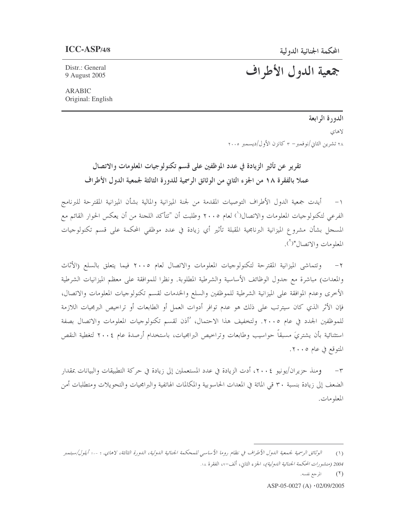جمعية الدول الأطراف

Distr.: General 9 August 2005

ARABIC Original: English

> الدورة الرابعة لاهاي ۲۸ تشرین الثاني/نوفمبر– ۳ کانزن الأول/دیسمبر ۲۰۰۰

تقرير عن تأثير الزيادة في عدد الموظفين على قسم تكنولوجيات المعلومات والاتصال عملا بالفقرة ١٨ من الجزء الثاني من الوثائق الرسمية للدورة الثالثة لجمعية الدول الأطراف

١– أيدت جمعية الدول الأطراف التوصيات المقدمة من لجنة الميزانية والمالية بشأن الميزانية المقترحة للبرنامج الفرعي لتكنولوجيات المعلومات والاتصال(`) لعام ٢٠٠٥ وطلبت أن "تتأكد اللجنة من أن يعكس الحوار القائم مع المسحل بشأن مشروع الميزانية البرنامجية المقبلة تأثير أي زيادة في عدد موظفي المحكمة على قسم تكنولوحيات ļ المعلومات والاتصال"(`).

٢– وتتماشى الميزانية المقترحة لتكنولوجيات المعلومات والاتصال لعام ٢٠٠٥ فيما يتعلق بالسلع (الأثاث والمعدات) مباشرة مع جدول الوظائف الأساسية والشرطية المطلوبة. ونظرا للموافقة على معظم الميزانيات الشرطية الأخرى وعدم الموافقة على الميزانية الشرطية للموظفين والسلع والخدمات لقسم تكنولوجيات المعلومات والاتصال، فإن الأثر الذي كان سيترتب على ذلك هو عدم توافر أدوات العمل أو الطابعات أو تراخيص البرمجيات اللازمة للموظفين الجدد في عام ٢٠٠٥. ولتخفيف هذا الاحتمال، 'أذن لقسم تكنولوجيات المعلومات والاتصال بصفة استثنائية بأن يشتريَ مسبقاً حواسيب وطابعات وتراخيص البرامجيات، باستخدام أرصدة عام ٢٠٠٤ لتغطية النقص المتوقع في عام ٢٠٠٥.

٣– ومنذ حزيران/يونيو ٢٠٠٤، أدت الزيادة في عدد المستعملين إلى زيادة في حركة التطبيقات والبيانات بمقدار یا یا الضعف إلى زيادة بنسبة ٣٠ قي المائة في المعدات الحاسوبية والمكالمات الهاتفية والبرامجيات والتحويلات ومتطلبات أمن ٟ المعلومات.

(٢) المرجع نفسه.

ASP-05-0027 (A)  $\cdot$  02/09/2005

<sup>(</sup>١) الوثائق الرسمية لجمعية الدول الأطراف في نظام روما الأساسي للمحكمة الجنائية الدولية، الدورة الثالثة، لاهاي، ٦ -١٠ أيلول/سبتمبر 2004 (م*نشورات المحكمة الجنائية الدولية)*، الجزء الثاني، ألف–٤٢ الفقرة ١٨.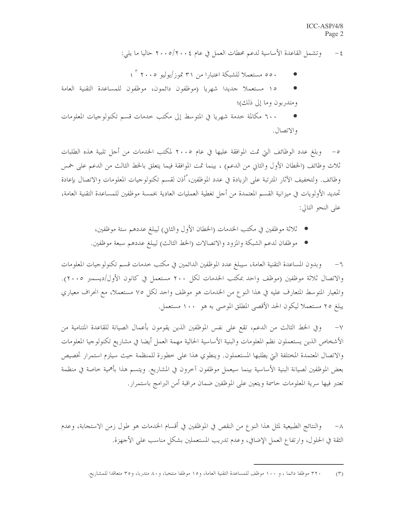٤– وتشمل القاعدة الأساسية لدعم محطات العمل في عام ٢٠٠٥/٢٠٠٤ حاليا ما يلي:

- ٥٥٠ مستعملاً للشبكة اعتبارًا من ٣١ تموز/يوليو ٢٠٠٥ كم ؟ ؛
- ١٥ مستعملاً جديدًا شهريًا (موظفون دائمون، موظفون للمساعدة التقنية العامة  $\bullet$ ومتدربون وما إلى ذلك)؛
- ٦٠٠ مكالمة خدمة شهريا في المتوسط إلى مكتب خدمات قسم تكنولوجيات المعلومات والاتصال.

٥– وبلغ عدد الوظائف التي تمت الموافقة عليها في عام ٢٠٠٥ لمكتب الخدمات من أجل تلبية هذه الطلبات ثلاث وظائف (الخطان الأول والثاني من الدعم) ، بينما تمت الموافقة فيما يتعلق بالخط الثالث من الدعم على خمس وظائف. ولتخفيف الآثار المترتبة على الزيادة في عدد الموظفين، ْأذن لقسم تكنولوجيات المعلومات والاتصال بإعادة تحديد الأولويات في ميزانية القسم المعتمدة من أجل تغطية العمليات العادية بخمسة موظفين للمساعدة التقنية العامة، على النحو التالي:

- ثلاثة موظفين في مكتب الخدمات (الحطان الأول والثاني) ليبلغ عددهم ستة موظفين،
- موظفان لدعم الشبكة والمزود والاتصالات (الخط الثالث) ليبلغ عددهم سبعة موظفين.

٦– وبدون المساعدة التقنية العامة، سيبلغ عدد الموظفين الدائمين في مكتب حدمات قسم تكنولوجيات المعلومات والاتصال ثلاثة موظفين (موظف واحد بمكتب الخدمات لكل ٢٠٠ مستعمل في كانون الأول/ديسمبر ٢٠٠٥). والمعيار المتوسط المتعارف عليه في هذا النوع من الخدمات هو موظف واحد لكل ٧٥ مستعملا، مع انحراف معياري يبلغ ٢٥ مستعملاً ليكون الحد الأقصى المطلق الموصى به هو ١٠٠ مستعمل.

وفي الخط الثالث من الدعم، تقع على نفس الموظفين الذين يقومون بأعمال الصيانة للقاعدة المتنامية من  $-\vee$ الأشخاص الذين يستعملون نظم المعلومات والبنية الأساسية الحالية مهمة العمل أيضا في مشاريع تكنولوجيا المعلومات والاتصال المعتمدة المختلفة التي يطلبها المستعملون. وينطوي هذا على خطورة للمنظمة حيث سيلزم استمرار تخصيص بعض الموظفين لصيانة البنية الأساسية بينما سيعمل موظفون آخرون في المشاريع. ويتسم هذا بأهمية خاصة في منظمة تعتبر فيها سرية المعلومات حاسمة ويتعين على الموظفين ضمان مراقبة أمن البرامج باستمرار.

والنتائج الطبيعية لمثل هذا النوع من النقص في الموظفين في أقسام الخدمات هو طول زمن الاستحابة، وعدم  $-\lambda$ الثقة في الحلول، وارتفاع العمل الإضافي، وعدم تدريب المستعملين بشكل مناسب على الأجهزة.

٣٢٠ موظفا دائما ، و ١٠٠ موظف للمساعدة التقنية العامة، و١٥ موظفا منتخبا، و٨٠ متدربا، و٣٥ متعاقدا للمشاريع.  $(1)$